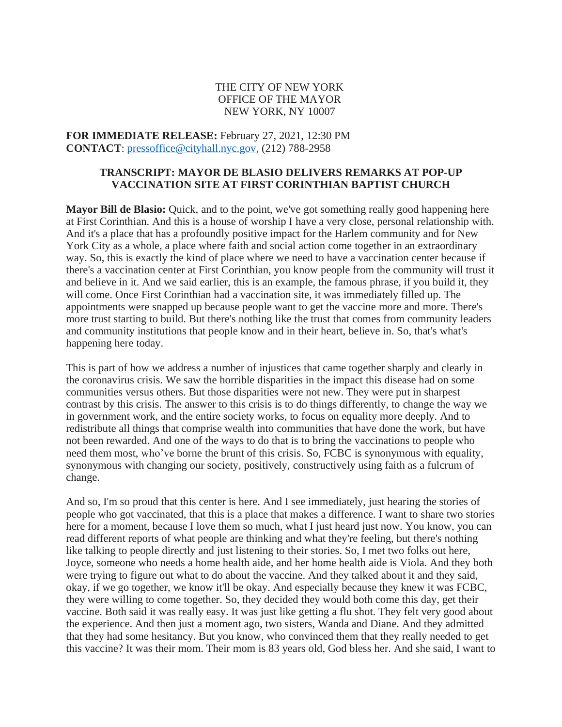## THE CITY OF NEW YORK OFFICE OF THE MAYOR NEW YORK, NY 10007

**FOR IMMEDIATE RELEASE:** February 27, 2021, 12:30 PM **CONTACT**: [pressoffice@cityhall.nyc.gov,](mailto:pressoffice@cityhall.nyc.gov) (212) 788-2958

#### **TRANSCRIPT: MAYOR DE BLASIO DELIVERS REMARKS AT POP-UP VACCINATION SITE AT FIRST CORINTHIAN BAPTIST CHURCH**

**Mayor Bill de Blasio:** Quick, and to the point, we've got something really good happening here at First Corinthian. And this is a house of worship I have a very close, personal relationship with. And it's a place that has a profoundly positive impact for the Harlem community and for New York City as a whole, a place where faith and social action come together in an extraordinary way. So, this is exactly the kind of place where we need to have a vaccination center because if there's a vaccination center at First Corinthian, you know people from the community will trust it and believe in it. And we said earlier, this is an example, the famous phrase, if you build it, they will come. Once First Corinthian had a vaccination site, it was immediately filled up. The appointments were snapped up because people want to get the vaccine more and more. There's more trust starting to build. But there's nothing like the trust that comes from community leaders and community institutions that people know and in their heart, believe in. So, that's what's happening here today.

This is part of how we address a number of injustices that came together sharply and clearly in the coronavirus crisis. We saw the horrible disparities in the impact this disease had on some communities versus others. But those disparities were not new. They were put in sharpest contrast by this crisis. The answer to this crisis is to do things differently, to change the way we in government work, and the entire society works, to focus on equality more deeply. And to redistribute all things that comprise wealth into communities that have done the work, but have not been rewarded. And one of the ways to do that is to bring the vaccinations to people who need them most, who've borne the brunt of this crisis. So, FCBC is synonymous with equality, synonymous with changing our society, positively, constructively using faith as a fulcrum of change.

And so, I'm so proud that this center is here. And I see immediately, just hearing the stories of people who got vaccinated, that this is a place that makes a difference. I want to share two stories here for a moment, because I love them so much, what I just heard just now. You know, you can read different reports of what people are thinking and what they're feeling, but there's nothing like talking to people directly and just listening to their stories. So, I met two folks out here, Joyce, someone who needs a home health aide, and her home health aide is Viola. And they both were trying to figure out what to do about the vaccine. And they talked about it and they said, okay, if we go together, we know it'll be okay. And especially because they knew it was FCBC, they were willing to come together. So, they decided they would both come this day, get their vaccine. Both said it was really easy. It was just like getting a flu shot. They felt very good about the experience. And then just a moment ago, two sisters, Wanda and Diane. And they admitted that they had some hesitancy. But you know, who convinced them that they really needed to get this vaccine? It was their mom. Their mom is 83 years old, God bless her. And she said, I want to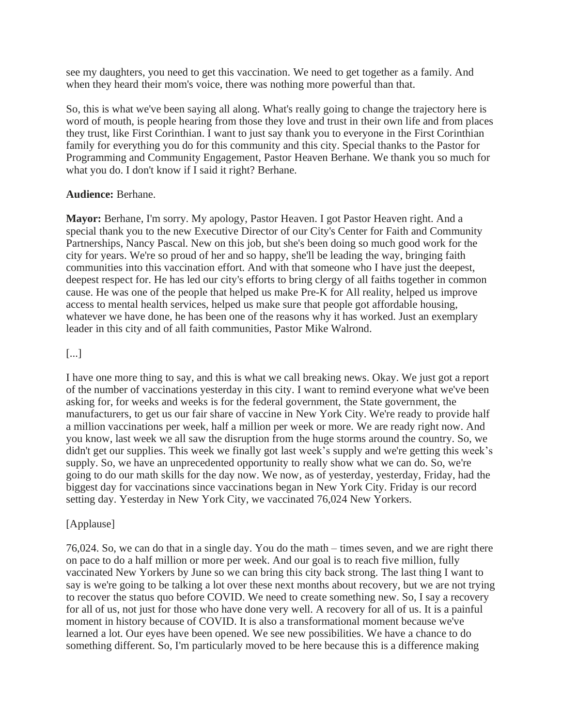see my daughters, you need to get this vaccination. We need to get together as a family. And when they heard their mom's voice, there was nothing more powerful than that.

So, this is what we've been saying all along. What's really going to change the trajectory here is word of mouth, is people hearing from those they love and trust in their own life and from places they trust, like First Corinthian. I want to just say thank you to everyone in the First Corinthian family for everything you do for this community and this city. Special thanks to the Pastor for Programming and Community Engagement, Pastor Heaven Berhane. We thank you so much for what you do. I don't know if I said it right? Berhane.

# **Audience:** Berhane.

**Mayor:** Berhane, I'm sorry. My apology, Pastor Heaven. I got Pastor Heaven right. And a special thank you to the new Executive Director of our City's Center for Faith and Community Partnerships, Nancy Pascal. New on this job, but she's been doing so much good work for the city for years. We're so proud of her and so happy, she'll be leading the way, bringing faith communities into this vaccination effort. And with that someone who I have just the deepest, deepest respect for. He has led our city's efforts to bring clergy of all faiths together in common cause. He was one of the people that helped us make Pre-K for All reality, helped us improve access to mental health services, helped us make sure that people got affordable housing, whatever we have done, he has been one of the reasons why it has worked. Just an exemplary leader in this city and of all faith communities, Pastor Mike Walrond.

# [...]

I have one more thing to say, and this is what we call breaking news. Okay. We just got a report of the number of vaccinations yesterday in this city. I want to remind everyone what we've been asking for, for weeks and weeks is for the federal government, the State government, the manufacturers, to get us our fair share of vaccine in New York City. We're ready to provide half a million vaccinations per week, half a million per week or more. We are ready right now. And you know, last week we all saw the disruption from the huge storms around the country. So, we didn't get our supplies. This week we finally got last week's supply and we're getting this week's supply. So, we have an unprecedented opportunity to really show what we can do. So, we're going to do our math skills for the day now. We now, as of yesterday, yesterday, Friday, had the biggest day for vaccinations since vaccinations began in New York City. Friday is our record setting day. Yesterday in New York City, we vaccinated 76,024 New Yorkers.

# [Applause]

76,024. So, we can do that in a single day. You do the math – times seven, and we are right there on pace to do a half million or more per week. And our goal is to reach five million, fully vaccinated New Yorkers by June so we can bring this city back strong. The last thing I want to say is we're going to be talking a lot over these next months about recovery, but we are not trying to recover the status quo before COVID. We need to create something new. So, I say a recovery for all of us, not just for those who have done very well. A recovery for all of us. It is a painful moment in history because of COVID. It is also a transformational moment because we've learned a lot. Our eyes have been opened. We see new possibilities. We have a chance to do something different. So, I'm particularly moved to be here because this is a difference making